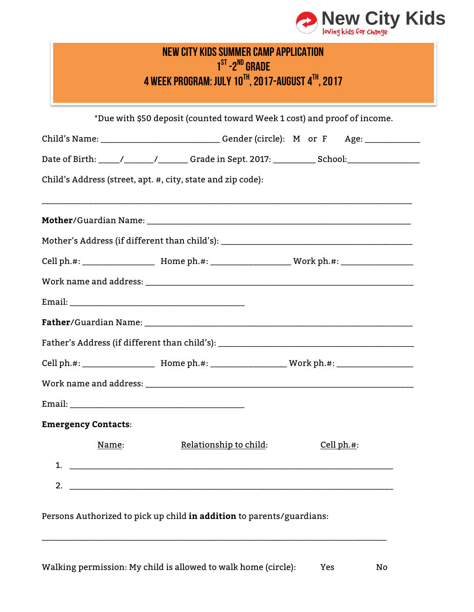

| NEW CITY KIDS SUMMER CAMP APPLICATION<br>$1ST - 2ND$ GRADE<br>4 WEEK PROGRAM: JULY 10TH, 2017-AUGUST 4TH, 2017 |                                                                                                     |            |  |  |  |  |
|----------------------------------------------------------------------------------------------------------------|-----------------------------------------------------------------------------------------------------|------------|--|--|--|--|
|                                                                                                                | *Due with \$50 deposit (counted toward Week 1 cost) and proof of income.                            |            |  |  |  |  |
|                                                                                                                | Child's Name: ________________________________Gender (circle): M or F Age: _____________            |            |  |  |  |  |
|                                                                                                                | Date of Birth: _____/________/_________Grade in Sept. 2017: ____________School:____________________ |            |  |  |  |  |
|                                                                                                                | Child's Address (street, apt. #, city, state and zip code):                                         |            |  |  |  |  |
|                                                                                                                |                                                                                                     |            |  |  |  |  |
|                                                                                                                |                                                                                                     |            |  |  |  |  |
|                                                                                                                |                                                                                                     |            |  |  |  |  |
|                                                                                                                |                                                                                                     |            |  |  |  |  |
|                                                                                                                |                                                                                                     |            |  |  |  |  |
|                                                                                                                |                                                                                                     |            |  |  |  |  |
|                                                                                                                |                                                                                                     |            |  |  |  |  |
|                                                                                                                |                                                                                                     |            |  |  |  |  |
| Work name and address:                                                                                         |                                                                                                     |            |  |  |  |  |
|                                                                                                                |                                                                                                     |            |  |  |  |  |
| <b>Emergency Contacts:</b>                                                                                     |                                                                                                     |            |  |  |  |  |
| Name:                                                                                                          | Relationship to child:                                                                              | Cell ph.#: |  |  |  |  |
|                                                                                                                |                                                                                                     |            |  |  |  |  |
|                                                                                                                | 2. $\blacksquare$                                                                                   |            |  |  |  |  |
|                                                                                                                | Persons Authorized to pick up child in addition to parents/guardians:                               |            |  |  |  |  |
|                                                                                                                | Walking permission: My child is allowed to walk home (circle):                                      | Yes<br>No  |  |  |  |  |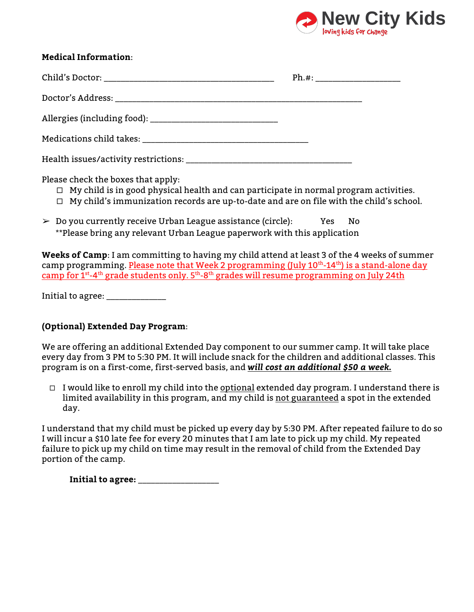

| <b>Medical Information:</b>                                                                                                                                                                                                          |  |  |  |  |  |
|--------------------------------------------------------------------------------------------------------------------------------------------------------------------------------------------------------------------------------------|--|--|--|--|--|
|                                                                                                                                                                                                                                      |  |  |  |  |  |
|                                                                                                                                                                                                                                      |  |  |  |  |  |
|                                                                                                                                                                                                                                      |  |  |  |  |  |
|                                                                                                                                                                                                                                      |  |  |  |  |  |
|                                                                                                                                                                                                                                      |  |  |  |  |  |
| Please check the boxes that apply:<br>$\Box$ My child is in good physical health and can participate in normal program activities.<br>$\Box$ My child's immunization records are up-to-date and are on file with the child's school. |  |  |  |  |  |
| $\triangleright$ Do you currently receive Urban League assistance (circle): Yes No<br>**Please bring any relevant Urban League paperwork with this application                                                                       |  |  |  |  |  |

**Weeks of Camp**: I am committing to having my child attend at least 3 of the 4 weeks of summer camp programming. Please note that Week 2 programming (July 10<sup>th</sup>-14<sup>th</sup>) is a stand-alone day camp for 1<sup>st</sup>-4<sup>th</sup> grade students only. 5<sup>th</sup>-8<sup>th</sup> grades will resume programming on July 24th

Initial to agree: \_\_\_\_\_\_\_\_\_\_\_\_\_\_\_

# **(Optional) Extended Day Program**:

We are offering an additional Extended Day component to our summer camp. It will take place every day from 3 PM to 5:30 PM. It will include snack for the children and additional classes. This program is on a first-come, first-served basis, and *will cost an additional \$50 a week***.**

 $\Box$  I would like to enroll my child into the optional extended day program. I understand there is limited availability in this program, and my child is not guaranteed a spot in the extended day.

I understand that my child must be picked up every day by 5:30 PM. After repeated failure to do so I will incur a \$10 late fee for every 20 minutes that I am late to pick up my child. My repeated failure to pick up my child on time may result in the removal of child from the Extended Day portion of the camp.

**Initial to agree:** \_\_\_\_\_\_\_\_\_\_\_\_\_\_\_\_\_\_\_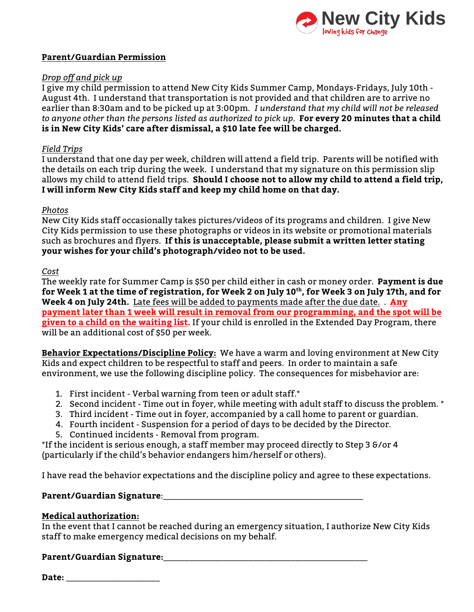

## **Parent/Guardian Permission**

## *Drop off and pick up*

I give my child permission to attend New City Kids Summer Camp, Mondays-Fridays, July 10th - August 4th. I understand that transportation is not provided and that children are to arrive no earlier than 8:30am and to be picked up at 3:00pm*. I understand that my child will not be released to anyone other than the persons listed as authorized to pick up*. **For every 20 minutes that a child is in New City Kids' care after dismissal, a \$10 late fee will be charged.**

#### *Field Trips*

I understand that one day per week, children will attend a field trip. Parents will be notified with the details on each trip during the week. I understand that my signature on this permission slip allows my child to attend field trips. **Should I choose not to allow my child to attend a field trip, I will inform New City Kids staff and keep my child home on that day.**

#### *Photos*

New City Kids staff occasionally takes pictures/videos of its programs and children. I give New City Kids permission to use these photographs or videos in its website or promotional materials such as brochures and flyers. **If this is unacceptable, please submit a written letter stating your wishes for your child's photograph/video not to be used.** 

#### *Cost*

The weekly rate for Summer Camp is \$50 per child either in cash or money order. **Payment is due for Week 1 at the time of registration, for Week 2 on July 10th, for Week 3 on July 17th, and for Week 4 on July 24th.** Late fees will be added to payments made after the due date. . **Any payment later than 1 week will result in removal from our programming, and the spot will be given to a child on the waiting list.** If your child is enrolled in the Extended Day Program, there will be an additional cost of \$50 per week.

**Behavior Expectations/Discipline Policy:** We have a warm and loving environment at New City Kids and expect children to be respectful to staff and peers. In order to maintain a safe environment, we use the following discipline policy. The consequences for misbehavior are:

- 1. First incident Verbal warning from teen or adult staff.\*
- 2. Second incident Time out in foyer, while meeting with adult staff to discuss the problem. \*
- 3. Third incident Time out in foyer, accompanied by a call home to parent or guardian.
- 4. Fourth incident Suspension for a period of days to be decided by the Director.
- 5. Continued incidents Removal from program.

\*If the incident is serious enough, a staff member may proceed directly to Step 3 &/or 4 (particularly if the child's behavior endangers him/herself or others).

I have read the behavior expectations and the discipline policy and agree to these expectations.

## **Parent/Guardian Signature**:\_\_\_\_\_\_\_\_\_\_\_\_\_\_\_\_\_\_\_\_\_\_\_\_\_\_\_\_\_\_\_\_\_\_\_\_\_\_\_\_\_\_\_\_\_\_\_

## **Medical authorization:**

In the event that I cannot be reached during an emergency situation, I authorize New City Kids staff to make emergency medical decisions on my behalf.

## **Parent/Guardian Signature:**\_\_\_\_\_\_\_\_\_\_\_\_\_\_\_\_\_\_\_\_\_\_\_\_\_\_\_\_\_\_\_\_\_\_\_\_\_\_\_\_\_\_\_\_\_\_\_\_

**Date:** \_\_\_\_\_\_\_\_\_\_\_\_\_\_\_\_\_\_\_\_\_\_